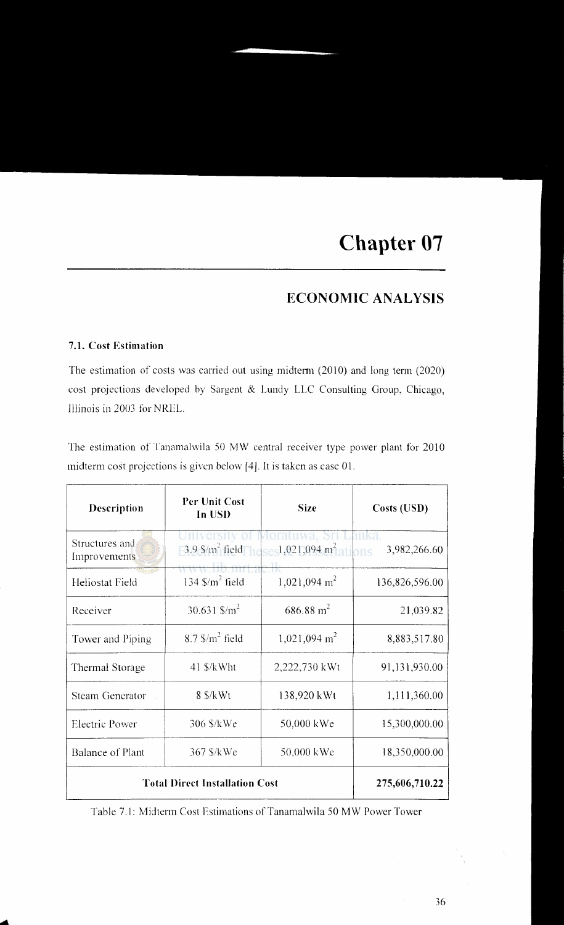# **ECONOMIC ANALYSIS**

#### **7.1. Cost Estimation**

...

The estimation of costs was carried out using midterm  $(2010)$  and long term  $(2020)$ cost projections developed by Sargent & Lundy LLC Consulting Group, Chicago, Illinois in 2003 for NREL.

The estimation of Tanamalwila 50 MW central receiver type power plant for 2010 midterm cost projections is given below [4]. It is taken as case 01.

| Description                    | <b>Per Unit Cost</b><br>In USD                                                    | <b>Size</b>              | Costs (USD)                  |
|--------------------------------|-----------------------------------------------------------------------------------|--------------------------|------------------------------|
| Structures and<br>Improvements | $-3.9$ \$/m <sup>2</sup> field heses1,021,094 m <sup>2</sup><br>www.lib.mrt.ac.lk |                          | mka<br>3,982,266.60<br>tions |
| Heliostat Field                | 134 $\frac{\text{m}^2}{\text{field}}$                                             | 1,021,094 m <sup>2</sup> | 136,826,596.00               |
| Receiver                       | 30.631 $\frac{\text{m}}{\text{m}^2}$                                              | $686.88 \text{ m}^2$     | 21,039.82                    |
| Tower and Piping               | $8.7$ $\frac{\text{m}^2}{\text{field}}$                                           | $1,021,094 \text{ m}^2$  | 8,883,517.80                 |
| Thermal Storage                | 41 \$/kWht                                                                        | 2,222,730 kWt            | 91,131,930.00                |
| <b>Steam Generator</b>         | $8 \frac{\text{S}}{\text{K}}$ Wt                                                  | 138,920 kWt              | 1,111,360.00                 |
| <b>Electric Power</b>          | 306 \$/kWe                                                                        | 50,000 kWe               | 15,300,000.00                |
| <b>Balance of Plant</b>        | 367 \$/kWe                                                                        | 50,000 kWe               | 18,350,000.00                |
|                                | <b>Total Direct Installation Cost</b>                                             |                          | 275,606,710.22               |

Table 7 .I: Midterm Cost Estimations of Tanamalwila 50 MW Power Tower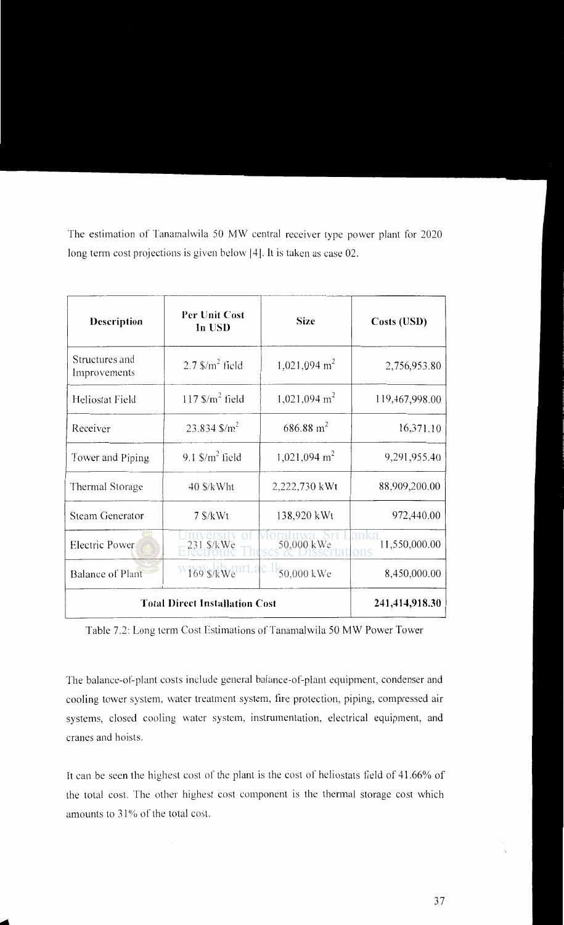The estimation of Tanamalwila 50 MW central receiver type power plant for 2020 long term cost projections is given below [4]. It is taken as case 02.

| Description                    | Per Unit Cost<br>In USD                 | <b>Size</b>             | Costs (USD)          |
|--------------------------------|-----------------------------------------|-------------------------|----------------------|
| Structures and<br>Improvements | $2.7$ $\frac{\text{m}^2}{\text{field}}$ | $1,021,094 \text{ m}^2$ | 2,756,953.80         |
| Heliostat Field                | $117$ S/m <sup>2</sup> field            | $1,021,094 \text{ m}^2$ | 119,467,998.00       |
| Receiver                       | 23.834 $\frac{\text{m}}{\text{m}^2}$    | $686.88 \text{ m}^2$    | 16,371.10            |
| Tower and Piping               | 9.1 $\frac{\text{m}^2}{\text{field}}$   | $1,021,094 \text{ m}^2$ | 9,291,955.40         |
| Thermal Storage                | $40$ \$/kWht                            | 2,222,730 kWt           | 88,909,200.00        |
| <b>Steam Generator</b>         | $7$ \$/ $kWt$                           | 138,920 kWt             | 972,440.00           |
| Electric Power                 | 231 \$/kWe                              | 50,000 kWe              | 11,550,000.00<br>ons |
| <b>Balance of Plant</b>        | 169 \$/kWe                              | 50,000 kWe              | 8,450,000.00         |
|                                | <b>Total Direct Installation Cost</b>   |                         | 241,414,918.30       |

Table 7.2: Long term Cost Estimations of Tanamalwila 50 MW Power Tower

The balance-of-plant costs include general balance-of-plant equipment, condenser and cooling tower system, water treatment system, fire protection, piping, compressed air systems, closed cooling water system, instrumentation, electrical equipment, and cranes and hoists.

It can be seen the highest cost of the plant is the cost of heliostats field of 41.66% of the total cost. The other highest cost component is the thermal storage cost which amounts to 31% of the total cost.

.....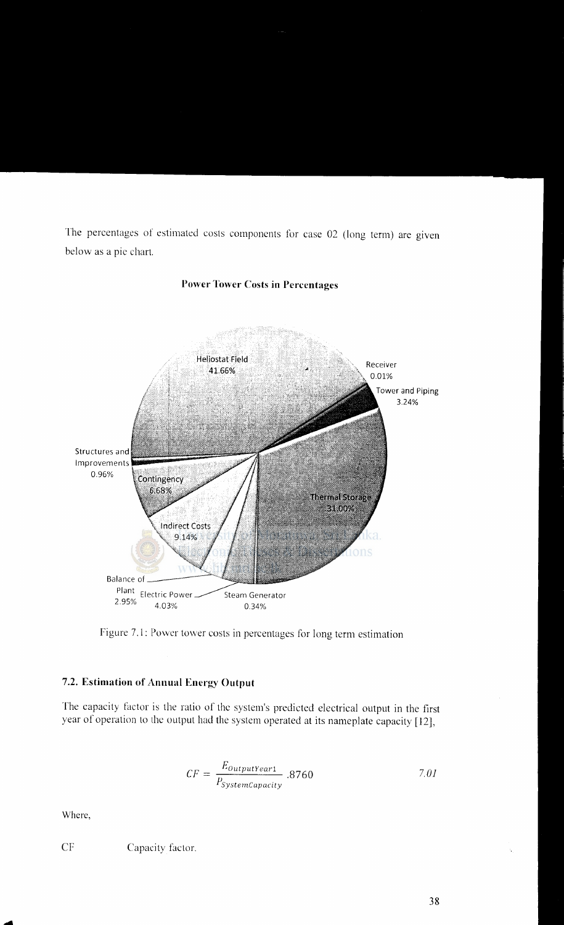The percentages of estimated costs components for case 02 (long term) are given below as a pic chart.



## **Power Tower Costs in Percentages**

figure 7.1: Power tower costs in percentages for long term estimation

#### **7.2. Estimation of Annual Energy Output**

The capacity factor is the ratio of the system's predicted electrical output in the first year of operation to the output had the system operated at its nameplate capacity [12],

$$
CF = \frac{E_{OutputYear1}}{P_{SystemCapacity}} .8760 \t\t 7.01
$$

Where,

....

CF Capacity factor.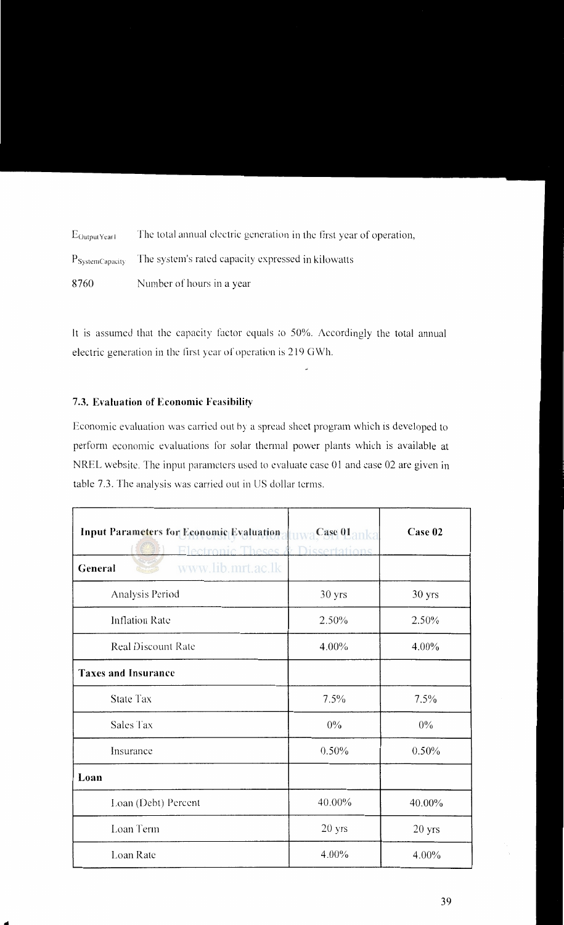$E_{\text{OutputYear}}$  The total annual electric generation in the first year of operation, P<sub>SystemCapacity</sub> The system's rated capacity expressed in kilowatts 8760 Number of hours in a year

It is assumed that the capacity factor equals to 50%. Accordingly the total annual electric generation in the first year of operation is 219 GWh.

#### 7.3. **Evaluation of Economic Feasibility**

...

Economic evaluation was carried out by a spread sheet program which is developed to perform economic evaluations for solar thermal power plants which is available at NREL website. The input parameters used to evaluate case 01 and case 02 are given in table 7.3. The analysis was carried out in US dollar terms.

| <b>Input Parameters for Economic Evaluation</b><br>Electronic Theses $\lambda$ | tuwa Case Uanka.<br><b>Dissertations</b> | Case 02           |
|--------------------------------------------------------------------------------|------------------------------------------|-------------------|
| www.lib.mrt.ac.lk<br>General                                                   |                                          |                   |
| Analysis Period                                                                | 30 yrs                                   | 30 yrs            |
| <b>Inflation Rate</b>                                                          | 2.50%                                    | 2.50%             |
| <b>Real Discount Rate</b>                                                      | $4.00\%$                                 | $4.00\%$          |
| <b>Taxes and Insurance</b>                                                     |                                          |                   |
| <b>State Tax</b>                                                               | 7.5%                                     | 7.5%              |
| Sales Tax                                                                      | $0\%$                                    | $0\%$             |
| Insurance                                                                      | $0.50\%$                                 | 0.50%             |
| Loan                                                                           |                                          |                   |
| Loan (Debt) Percent                                                            | 40.00%                                   | 40.00%            |
| Loan Term                                                                      | $20$ yrs                                 | 20 <sub>yrs</sub> |
| Loan Rate                                                                      | 4.00%                                    | 4.00%             |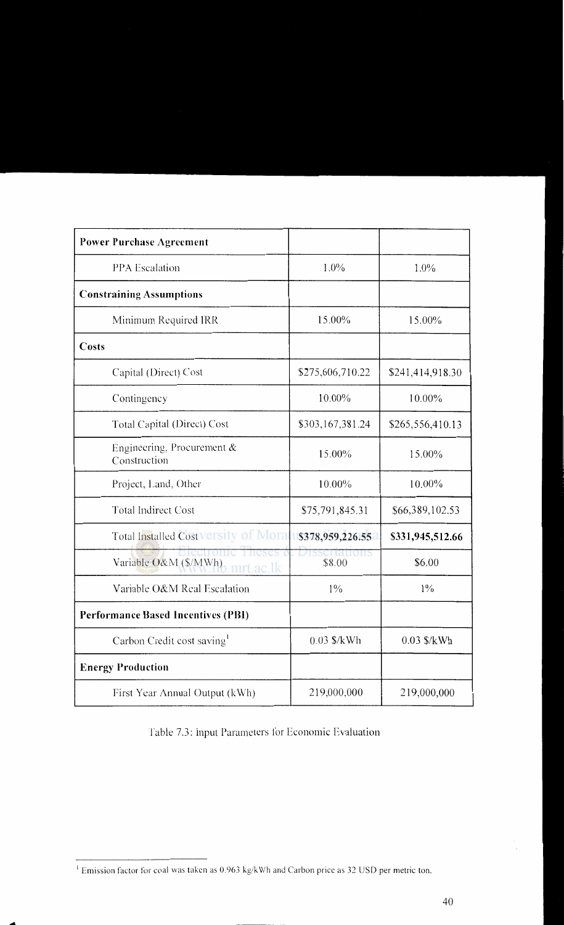| <b>Power Purchase Agreement</b>               |                         |                  |
|-----------------------------------------------|-------------------------|------------------|
| <b>PPA</b> Escalation                         | $1.0\%$                 | $1.0\%$          |
| <b>Constraining Assumptions</b>               |                         |                  |
| Minimum Required IRR                          | 15.00%                  | 15.00%           |
| Costs                                         |                         |                  |
| Capital (Direct) Cost                         | \$275,606,710.22        | \$241,414,918.30 |
| Contingency                                   | 10.00%                  | 10.00%           |
| Total Capital (Direct) Cost                   | \$303,167,381.24        | \$265,556,410.13 |
| Engineering, Procurement $\&$<br>Construction | 15.00%                  | 15.00%           |
| Project, Land, Other                          | 10.00%                  | $10.00\%$        |
| <b>Total Indirect Cost</b>                    | \$75,791,845.31         | \$66,389,102.53  |
| Total Installed Costversity of Morat          | \$378,959,226.55        | \$331,945,512.66 |
| Variable O&M (\$/MWh) mrt.ac.lk               | zissertations<br>\$8.00 | \$6.00           |
| Variable O&M Real Escalation                  | $1\%$                   | $1\%$            |
| <b>Performance Based Incentives (PBI)</b>     |                         |                  |
| Carbon Credit cost saving                     | $0.03$ \$/kWh           | $0.03$ \$/kWh    |
| <b>Energy Production</b>                      |                         |                  |
| First Year Annual Output (kWh)                | 219,000,000             | 219,000,000      |

Table 7.3: Input Parameters for Economic Evaluation

....

<sup>&</sup>lt;sup>1</sup> Emission factor for coal was taken as 0.963 kg/kWh and Carbon price as 32 USD per metric ton.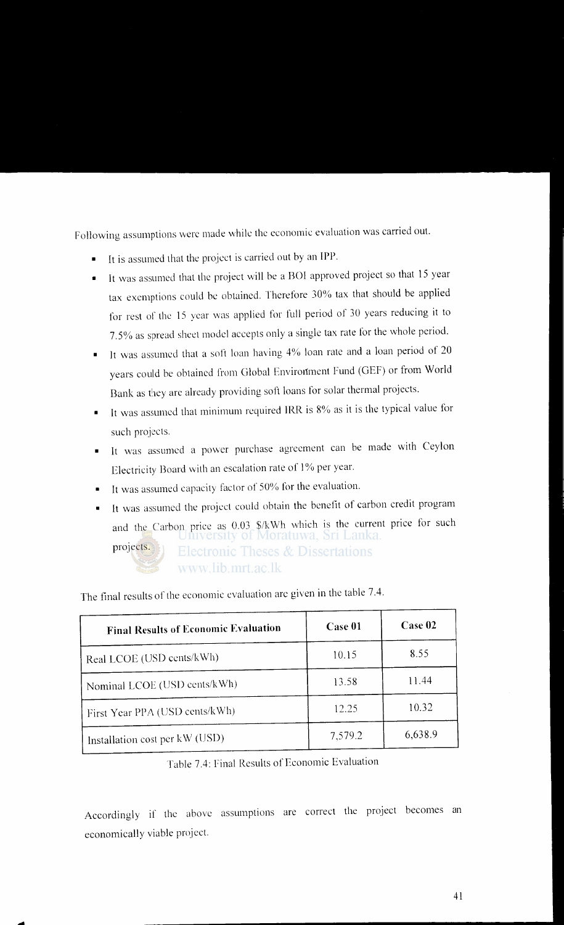Following assumptions were made while the economic evaluation was carried out.

- It is assumed that the project is carried out by an IPP.
- It was assumed that the project will be a BOI approved project so that 15 year tax exemptions could be obtained. Therefore 30% tax that should be applied for rest of the 15 year was applied for full period of 30 years reducing it to 7.5% as spread sheet model accepts only a single tax rate for the whole period.
- It was assumed that a soft loan having 4% loan rate and a loan period of 20 years could be obtained from Global Environment Fund (GEF) or from World Bank as they arc already providing soft loans for solar thermal projects.
- It was assumed that minimum required IRR is 8% as it is the typical value for such projects.
- It was assumed a power purchase agreement can be made with Ceylon Electricity Board with an escalation rate of 1% per year.
- It was assumed capacity factor of 50% for the evaluation.
- It was assumed the project could obtain the benefit of carbon credit program and the Carbon price as 0.03 \$/kWh which is the current price for such projects. Electronic Theses & Dissertations www.lib.mrt.ac.lk

The final results of the economic evaluation arc given in the table 7 .4.

| <b>Final Results of Economic Evaluation</b> | Case 01 | Case 02 |
|---------------------------------------------|---------|---------|
| Real LCOE (USD cents/kWh)                   | 10.15   | 8.55    |
| Nominal LCOE (USD cents/kWh)                | 13.58   | 11.44   |
| First Year PPA (USD cents/kWh)              | 12.25   | 10.32   |
| Installation cost per kW (USD)              | 7,579.2 | 6,638.9 |

Table 7.4: Final Results of Economic Evaluation

Accordingly if the above assumptions are correct the project becomes an economically viable project.

....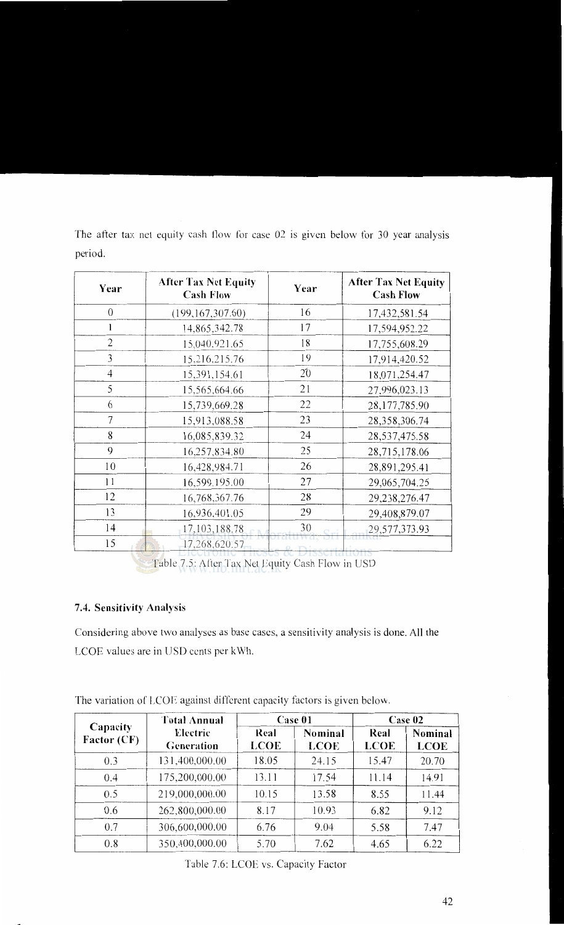| Year           | <b>After Tax Net Equity</b><br><b>Cash Flow</b> | Year          | <b>After Tax Net Equity</b><br><b>Cash Flow</b> |
|----------------|-------------------------------------------------|---------------|-------------------------------------------------|
| $\overline{0}$ | (199, 167, 307.60)                              | 16            | 17,432,581.54                                   |
|                | 14,865,342.78                                   | 17            | 17,594,952.22                                   |
| $\overline{2}$ | 15,040,921.65                                   | 18            | 17,755,608.29                                   |
| 3              | 15,216,215.76                                   | 19            | 17,914,420.52                                   |
| 4              | 15,391,154.61                                   | 20            | 18,071,254.47                                   |
| 5              | 15,565,664.66                                   | 21            | 27,996,023.13                                   |
| 6              | 15,739,669.28                                   | 22            | 28,177,785.90                                   |
| 7              | 15,913,088.58                                   | 23            | 28,358,306.74                                   |
| 8              | 16,085,839.32                                   | 24            | 28,537,475.58                                   |
| 9              | 16,257,834.80                                   | 25            | 28,715,178.06                                   |
| 10             | 16,428,984.71                                   | 26            | 28,891,295.41                                   |
| 11             | 16,599,195.00                                   | 27            | 29,065,704.25                                   |
| 12             | 16,768,367.76                                   | 28            | 29,238,276.47                                   |
| 13             | 16,936,401.05                                   | 29            | 29,408,879.07                                   |
| 14             | 17, 103, 188.78                                 | 30            | 29,577,373.93                                   |
| 15             | 17,268,620.57                                   | Dissertations |                                                 |

The after tax net equity cash flow for case 02 is given below for 30 year analysis period.

Table 7.5: After Tax Net Equity Cash Flow in USD

## **7.4. Sensitivity Analysis**

Considering above two analyses as base cases, a sensitivity analysis is done. All the LCOE values are in USD cents per kWh.

|                                | <b>Total Annual</b><br>Case 01 |                     | Case 02                |                     |                        |
|--------------------------------|--------------------------------|---------------------|------------------------|---------------------|------------------------|
| Capacity<br><b>Factor (CF)</b> | Electric<br>Generation         | Real<br><b>LCOE</b> | Nominal<br><b>LCOE</b> | Real<br><b>LCOE</b> | Nominal<br><b>LCOE</b> |
| 0.3                            | 131,400,000.00                 | 18.05               | 24.15                  | 15.47               | 20.70                  |
| 0.4                            | 175,200,000.00                 | 13.11               | 17.54                  | 11.14               | 14.91                  |
| 0.5                            | 219,000,000.00                 | 10.15               | 13.58                  | 8.55                | 11.44                  |
| 0.6                            | 262,800,000.00                 | 8.17                | 10.93                  | 6.82                | 9.12                   |
| 0.7                            | 306,600,000.00                 | 6.76                | 9.04                   | 5.58                | 7.47                   |
| 0.8                            | 350,400,000.00                 | 5.70                | 7.62                   | 4.65                | 6.22                   |

The variation of LCOE against different capacity factors is given below.

Table 7.6: LCOE vs. Capacity Factor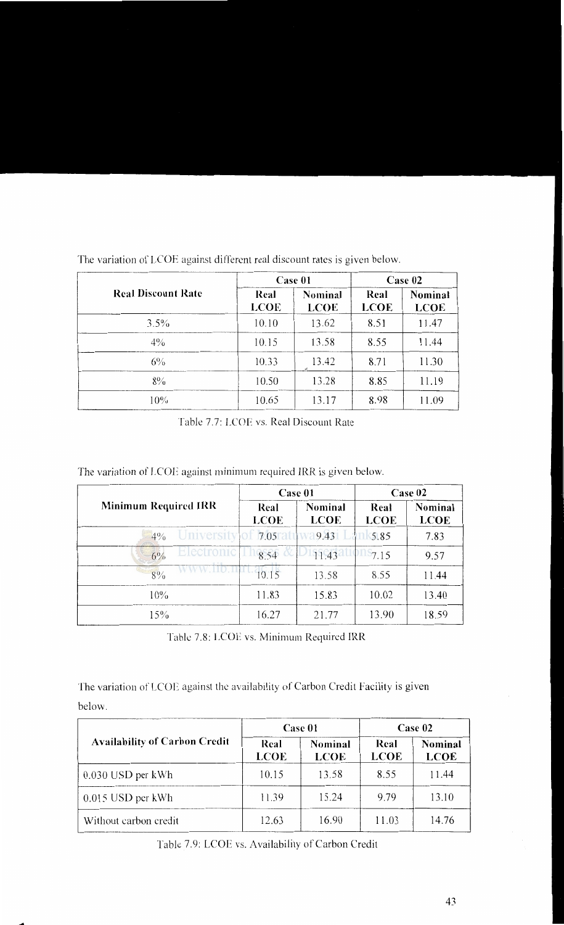|                           | Case 01             |                        | Case 02             |                               |
|---------------------------|---------------------|------------------------|---------------------|-------------------------------|
| <b>Real Discount Rate</b> | Real<br><b>LCOE</b> | Nominal<br><b>LCOE</b> | Real<br><b>LCOE</b> | <b>Nominal</b><br><b>LCOE</b> |
| $3.5\%$                   | 10.10               | 13.62                  | 8.51                | 11.47                         |
| $4\%$                     | 10.15               | 13.58                  | 8.55                | 11.44                         |
| $6\%$                     | 10.33               | 13.42                  | 8.71                | 11.30                         |
| $8\%$                     | 10.50               | 13.28                  | 8.85                | 11.19                         |
| 10%                       | 10.65               | 13.17                  | 8.98                | 11.09                         |

The variation of LCOE against different real discount rates is given below.

Table 7.7: LCOE vs. Real Discount Rate

The variation of LCOE against minimum required IRR is given below.

|                               | Case 01             |                        | Case 02             |                        |
|-------------------------------|---------------------|------------------------|---------------------|------------------------|
| <b>Minimum Required IRR</b>   | Real<br><b>LCOE</b> | Nominal<br><b>LCOE</b> | Real<br><b>LCOE</b> | Nominal<br><b>LCOE</b> |
| University of 17.05%<br>$4\%$ |                     | 9.43                   | 5.85                | 7.83                   |
| Electronic<br>$6\%$           | 8.54                | 11.43                  | 7.15                | 9.57                   |
| 8%                            | 10.15               | 13.58                  | 8.55                | 11.44                  |
| $10\%$                        | 11.83               | 15.83                  | 10.02               | 13.40                  |
| 15%                           | 16.27               | 21.77                  | 13.90               | 18.59                  |

Table 7.8: LCOE vs. Minimum Required IRR

The variation of LCOE against the availability of Carbon Credit Facility is given below.

|                                      | Case 01             |                        | Case 02             |                        |
|--------------------------------------|---------------------|------------------------|---------------------|------------------------|
| <b>Availability of Carbon Credit</b> | Real<br><b>LCOE</b> | Nominal<br><b>LCOE</b> | Real<br><b>LCOE</b> | Nominal<br><b>LCOE</b> |
| $0.030$ USD per kWh                  | 10.15               | 13.58                  | 8.55                | 11.44                  |
| $0.015$ USD per kWh                  | 11.39               | 15.24                  | 9.79                | 13.10                  |
| Without carbon credit                | 12.63               | 16.90                  | 11.03               | 14.76                  |

Table 7.9: LCOE vs. Availability of Carbon Credit

-